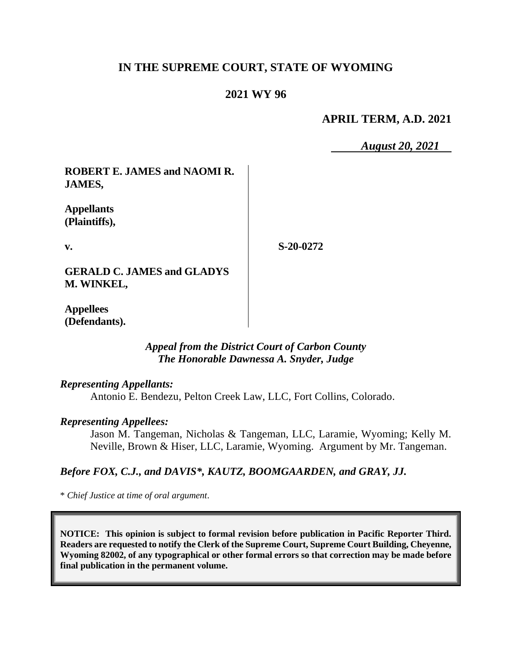# **IN THE SUPREME COURT, STATE OF WYOMING**

### **2021 WY 96**

### **APRIL TERM, A.D. 2021**

*August 20, 2021*

**ROBERT E. JAMES and NAOMI R. JAMES,**

**Appellants (Plaintiffs),**

**v.**

**S-20-0272**

**GERALD C. JAMES and GLADYS M. WINKEL,**

**Appellees (Defendants).**

### *Appeal from the District Court of Carbon County The Honorable Dawnessa A. Snyder, Judge*

*Representing Appellants:*

Antonio E. Bendezu, Pelton Creek Law, LLC, Fort Collins, Colorado.

#### *Representing Appellees:*

Jason M. Tangeman, Nicholas & Tangeman, LLC, Laramie, Wyoming; Kelly M. Neville, Brown & Hiser, LLC, Laramie, Wyoming. Argument by Mr. Tangeman.

#### *Before FOX, C.J., and DAVIS\*, KAUTZ, BOOMGAARDEN, and GRAY, JJ.*

\* *Chief Justice at time of oral argument*.

**NOTICE: This opinion is subject to formal revision before publication in Pacific Reporter Third. Readers are requested to notify the Clerk of the Supreme Court, Supreme Court Building, Cheyenne, Wyoming 82002, of any typographical or other formal errors so that correction may be made before final publication in the permanent volume.**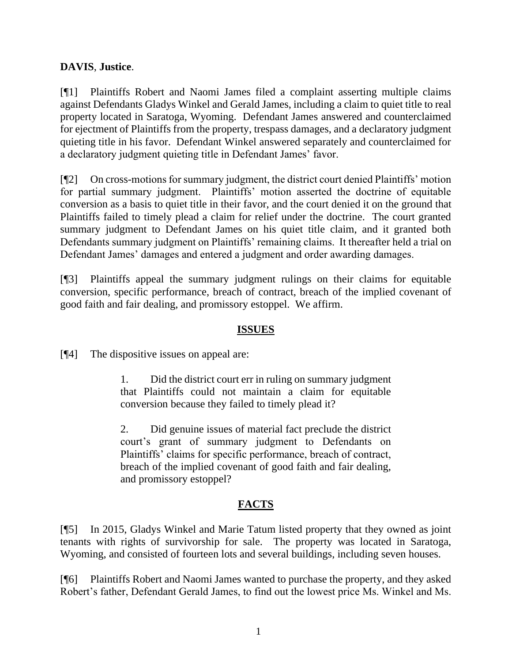# **DAVIS**, **Justice**.

[¶1] Plaintiffs Robert and Naomi James filed a complaint asserting multiple claims against Defendants Gladys Winkel and Gerald James, including a claim to quiet title to real property located in Saratoga, Wyoming. Defendant James answered and counterclaimed for ejectment of Plaintiffs from the property, trespass damages, and a declaratory judgment quieting title in his favor. Defendant Winkel answered separately and counterclaimed for a declaratory judgment quieting title in Defendant James' favor.

[¶2] On cross-motions for summary judgment, the district court denied Plaintiffs' motion for partial summary judgment. Plaintiffs' motion asserted the doctrine of equitable conversion as a basis to quiet title in their favor, and the court denied it on the ground that Plaintiffs failed to timely plead a claim for relief under the doctrine. The court granted summary judgment to Defendant James on his quiet title claim, and it granted both Defendants summary judgment on Plaintiffs' remaining claims. It thereafter held a trial on Defendant James' damages and entered a judgment and order awarding damages.

[¶3] Plaintiffs appeal the summary judgment rulings on their claims for equitable conversion, specific performance, breach of contract, breach of the implied covenant of good faith and fair dealing, and promissory estoppel. We affirm.

# **ISSUES**

[¶4] The dispositive issues on appeal are:

1. Did the district court err in ruling on summary judgment that Plaintiffs could not maintain a claim for equitable conversion because they failed to timely plead it?

2. Did genuine issues of material fact preclude the district court's grant of summary judgment to Defendants on Plaintiffs' claims for specific performance, breach of contract, breach of the implied covenant of good faith and fair dealing, and promissory estoppel?

# **FACTS**

[¶5] In 2015, Gladys Winkel and Marie Tatum listed property that they owned as joint tenants with rights of survivorship for sale. The property was located in Saratoga, Wyoming, and consisted of fourteen lots and several buildings, including seven houses.

[¶6] Plaintiffs Robert and Naomi James wanted to purchase the property, and they asked Robert's father, Defendant Gerald James, to find out the lowest price Ms. Winkel and Ms.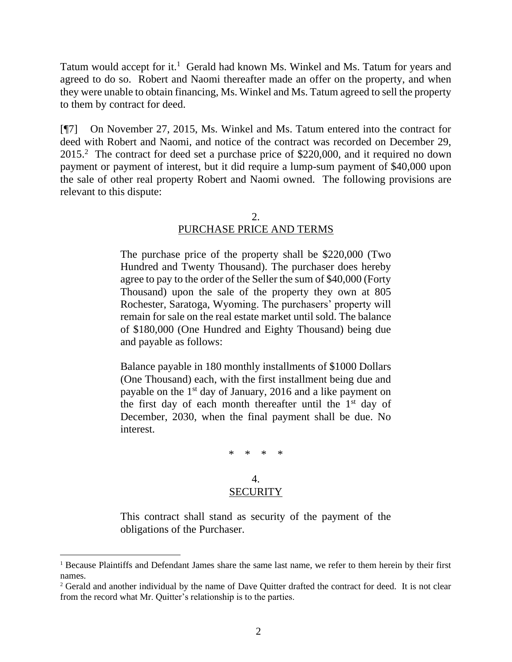Tatum would accept for it.<sup>1</sup> Gerald had known Ms. Winkel and Ms. Tatum for years and agreed to do so. Robert and Naomi thereafter made an offer on the property, and when they were unable to obtain financing, Ms. Winkel and Ms. Tatum agreed to sell the property to them by contract for deed.

[¶7] On November 27, 2015, Ms. Winkel and Ms. Tatum entered into the contract for deed with Robert and Naomi, and notice of the contract was recorded on December 29, 2015.<sup>2</sup> The contract for deed set a purchase price of \$220,000, and it required no down payment or payment of interest, but it did require a lump-sum payment of \$40,000 upon the sale of other real property Robert and Naomi owned. The following provisions are relevant to this dispute:

### PURCHASE PRICE AND TERMS

The purchase price of the property shall be \$220,000 (Two Hundred and Twenty Thousand). The purchaser does hereby agree to pay to the order of the Seller the sum of \$40,000 (Forty Thousand) upon the sale of the property they own at 805 Rochester, Saratoga, Wyoming. The purchasers' property will remain for sale on the real estate market until sold. The balance of \$180,000 (One Hundred and Eighty Thousand) being due and payable as follows:

Balance payable in 180 monthly installments of \$1000 Dollars (One Thousand) each, with the first installment being due and payable on the 1st day of January, 2016 and a like payment on the first day of each month thereafter until the  $1<sup>st</sup>$  day of December, 2030, when the final payment shall be due. No interest.

\* \* \* \*

#### 4. **SECURITY**

This contract shall stand as security of the payment of the obligations of the Purchaser.

<sup>&</sup>lt;sup>1</sup> Because Plaintiffs and Defendant James share the same last name, we refer to them herein by their first names.

<sup>&</sup>lt;sup>2</sup> Gerald and another individual by the name of Dave Quitter drafted the contract for deed. It is not clear from the record what Mr. Quitter's relationship is to the parties.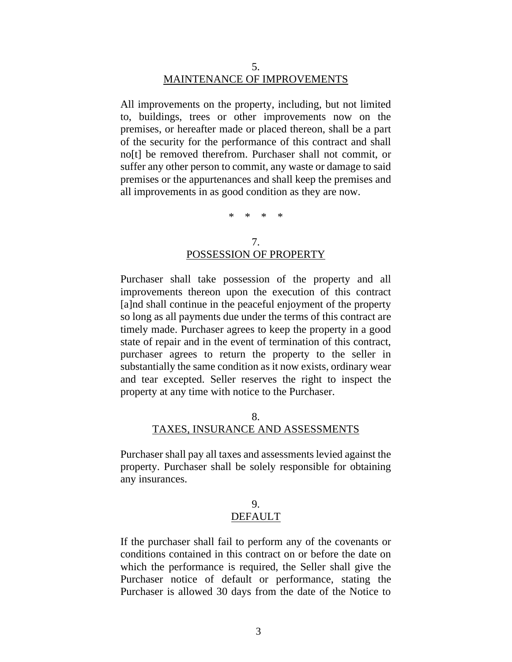#### 5. MAINTENANCE OF IMPROVEMENTS

All improvements on the property, including, but not limited to, buildings, trees or other improvements now on the premises, or hereafter made or placed thereon, shall be a part of the security for the performance of this contract and shall no[t] be removed therefrom. Purchaser shall not commit, or suffer any other person to commit, any waste or damage to said premises or the appurtenances and shall keep the premises and all improvements in as good condition as they are now.

\* \* \* \*

### 7. POSSESSION OF PROPERTY

Purchaser shall take possession of the property and all improvements thereon upon the execution of this contract [a]nd shall continue in the peaceful enjoyment of the property so long as all payments due under the terms of this contract are timely made. Purchaser agrees to keep the property in a good state of repair and in the event of termination of this contract, purchaser agrees to return the property to the seller in substantially the same condition as it now exists, ordinary wear and tear excepted. Seller reserves the right to inspect the property at any time with notice to the Purchaser.

#### 8. TAXES, INSURANCE AND ASSESSMENTS

Purchaser shall pay all taxes and assessments levied against the property. Purchaser shall be solely responsible for obtaining any insurances.

### 9.

### DEFAULT

If the purchaser shall fail to perform any of the covenants or conditions contained in this contract on or before the date on which the performance is required, the Seller shall give the Purchaser notice of default or performance, stating the Purchaser is allowed 30 days from the date of the Notice to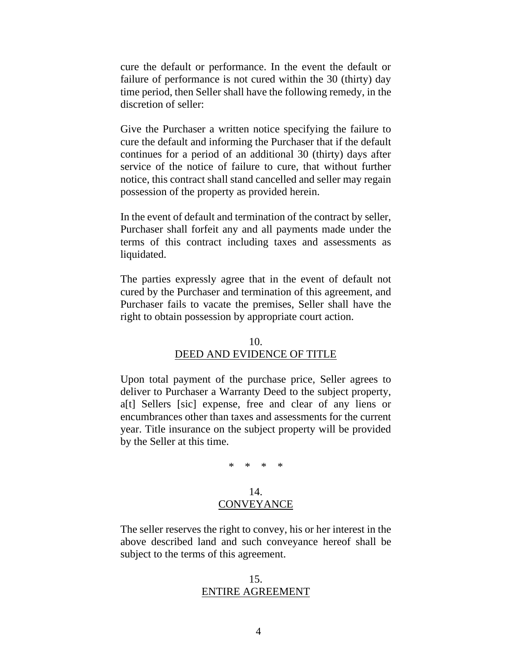cure the default or performance. In the event the default or failure of performance is not cured within the 30 (thirty) day time period, then Seller shall have the following remedy, in the discretion of seller:

Give the Purchaser a written notice specifying the failure to cure the default and informing the Purchaser that if the default continues for a period of an additional 30 (thirty) days after service of the notice of failure to cure, that without further notice, this contract shall stand cancelled and seller may regain possession of the property as provided herein.

In the event of default and termination of the contract by seller, Purchaser shall forfeit any and all payments made under the terms of this contract including taxes and assessments as liquidated.

The parties expressly agree that in the event of default not cured by the Purchaser and termination of this agreement, and Purchaser fails to vacate the premises, Seller shall have the right to obtain possession by appropriate court action.

#### 10.

### DEED AND EVIDENCE OF TITLE

Upon total payment of the purchase price, Seller agrees to deliver to Purchaser a Warranty Deed to the subject property, a[t] Sellers [sic] expense, free and clear of any liens or encumbrances other than taxes and assessments for the current year. Title insurance on the subject property will be provided by the Seller at this time.

\* \* \* \*

### 14. **CONVEYANCE**

The seller reserves the right to convey, his or her interest in the above described land and such conveyance hereof shall be subject to the terms of this agreement.

#### 15. ENTIRE AGREEMENT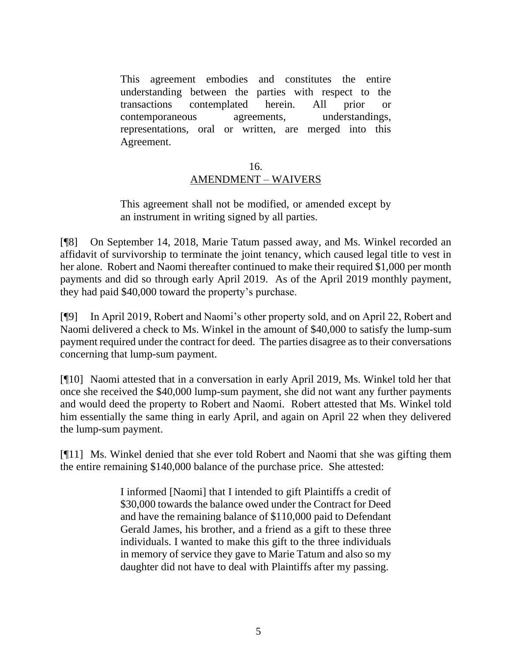This agreement embodies and constitutes the entire understanding between the parties with respect to the transactions contemplated herein. All prior or contemporaneous agreements, understandings, representations, oral or written, are merged into this Agreement.

### 16. AMENDMENT – WAIVERS

This agreement shall not be modified, or amended except by an instrument in writing signed by all parties.

[¶8] On September 14, 2018, Marie Tatum passed away, and Ms. Winkel recorded an affidavit of survivorship to terminate the joint tenancy, which caused legal title to vest in her alone. Robert and Naomi thereafter continued to make their required \$1,000 per month payments and did so through early April 2019. As of the April 2019 monthly payment, they had paid \$40,000 toward the property's purchase.

[¶9] In April 2019, Robert and Naomi's other property sold, and on April 22, Robert and Naomi delivered a check to Ms. Winkel in the amount of \$40,000 to satisfy the lump-sum payment required under the contract for deed. The parties disagree as to their conversations concerning that lump-sum payment.

[¶10] Naomi attested that in a conversation in early April 2019, Ms. Winkel told her that once she received the \$40,000 lump-sum payment, she did not want any further payments and would deed the property to Robert and Naomi. Robert attested that Ms. Winkel told him essentially the same thing in early April, and again on April 22 when they delivered the lump-sum payment.

[¶11] Ms. Winkel denied that she ever told Robert and Naomi that she was gifting them the entire remaining \$140,000 balance of the purchase price. She attested:

> I informed [Naomi] that I intended to gift Plaintiffs a credit of \$30,000 towards the balance owed under the Contract for Deed and have the remaining balance of \$110,000 paid to Defendant Gerald James, his brother, and a friend as a gift to these three individuals. I wanted to make this gift to the three individuals in memory of service they gave to Marie Tatum and also so my daughter did not have to deal with Plaintiffs after my passing.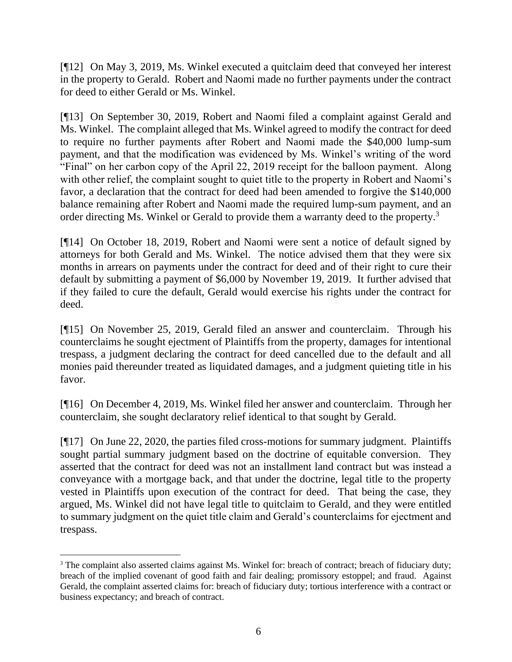[¶12] On May 3, 2019, Ms. Winkel executed a quitclaim deed that conveyed her interest in the property to Gerald. Robert and Naomi made no further payments under the contract for deed to either Gerald or Ms. Winkel.

[¶13] On September 30, 2019, Robert and Naomi filed a complaint against Gerald and Ms. Winkel. The complaint alleged that Ms. Winkel agreed to modify the contract for deed to require no further payments after Robert and Naomi made the \$40,000 lump-sum payment, and that the modification was evidenced by Ms. Winkel's writing of the word "Final" on her carbon copy of the April 22, 2019 receipt for the balloon payment. Along with other relief, the complaint sought to quiet title to the property in Robert and Naomi's favor, a declaration that the contract for deed had been amended to forgive the \$140,000 balance remaining after Robert and Naomi made the required lump-sum payment, and an order directing Ms. Winkel or Gerald to provide them a warranty deed to the property.<sup>3</sup>

[¶14] On October 18, 2019, Robert and Naomi were sent a notice of default signed by attorneys for both Gerald and Ms. Winkel. The notice advised them that they were six months in arrears on payments under the contract for deed and of their right to cure their default by submitting a payment of \$6,000 by November 19, 2019. It further advised that if they failed to cure the default, Gerald would exercise his rights under the contract for deed.

[¶15] On November 25, 2019, Gerald filed an answer and counterclaim. Through his counterclaims he sought ejectment of Plaintiffs from the property, damages for intentional trespass, a judgment declaring the contract for deed cancelled due to the default and all monies paid thereunder treated as liquidated damages, and a judgment quieting title in his favor.

[¶16] On December 4, 2019, Ms. Winkel filed her answer and counterclaim. Through her counterclaim, she sought declaratory relief identical to that sought by Gerald.

[¶17] On June 22, 2020, the parties filed cross-motions for summary judgment. Plaintiffs sought partial summary judgment based on the doctrine of equitable conversion. They asserted that the contract for deed was not an installment land contract but was instead a conveyance with a mortgage back, and that under the doctrine, legal title to the property vested in Plaintiffs upon execution of the contract for deed. That being the case, they argued, Ms. Winkel did not have legal title to quitclaim to Gerald, and they were entitled to summary judgment on the quiet title claim and Gerald's counterclaims for ejectment and trespass.

<sup>&</sup>lt;sup>3</sup> The complaint also asserted claims against Ms. Winkel for: breach of contract; breach of fiduciary duty; breach of the implied covenant of good faith and fair dealing; promissory estoppel; and fraud. Against Gerald, the complaint asserted claims for: breach of fiduciary duty; tortious interference with a contract or business expectancy; and breach of contract.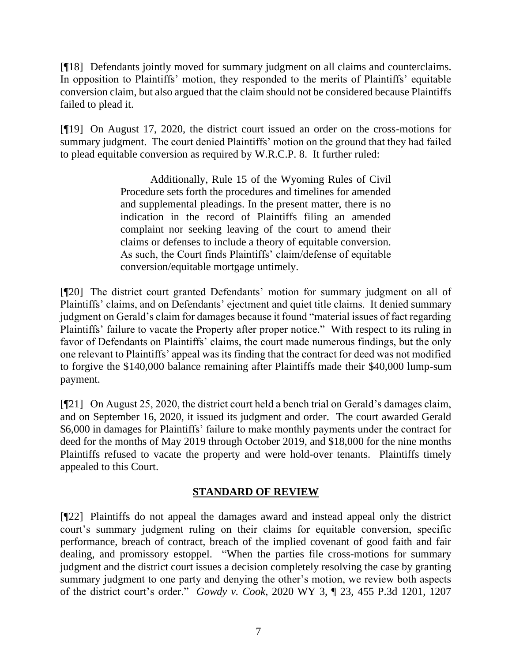[¶18] Defendants jointly moved for summary judgment on all claims and counterclaims. In opposition to Plaintiffs' motion, they responded to the merits of Plaintiffs' equitable conversion claim, but also argued that the claim should not be considered because Plaintiffs failed to plead it.

[¶19] On August 17, 2020, the district court issued an order on the cross-motions for summary judgment. The court denied Plaintiffs' motion on the ground that they had failed to plead equitable conversion as required by W.R.C.P. 8. It further ruled:

> Additionally, Rule 15 of the Wyoming Rules of Civil Procedure sets forth the procedures and timelines for amended and supplemental pleadings. In the present matter, there is no indication in the record of Plaintiffs filing an amended complaint nor seeking leaving of the court to amend their claims or defenses to include a theory of equitable conversion. As such, the Court finds Plaintiffs' claim/defense of equitable conversion/equitable mortgage untimely.

[¶20] The district court granted Defendants' motion for summary judgment on all of Plaintiffs' claims, and on Defendants' ejectment and quiet title claims. It denied summary judgment on Gerald's claim for damages because it found "material issues of fact regarding Plaintiffs' failure to vacate the Property after proper notice." With respect to its ruling in favor of Defendants on Plaintiffs' claims, the court made numerous findings, but the only one relevant to Plaintiffs' appeal was its finding that the contract for deed was not modified to forgive the \$140,000 balance remaining after Plaintiffs made their \$40,000 lump-sum payment.

[¶21] On August 25, 2020, the district court held a bench trial on Gerald's damages claim, and on September 16, 2020, it issued its judgment and order. The court awarded Gerald \$6,000 in damages for Plaintiffs' failure to make monthly payments under the contract for deed for the months of May 2019 through October 2019, and \$18,000 for the nine months Plaintiffs refused to vacate the property and were hold-over tenants. Plaintiffs timely appealed to this Court.

# **STANDARD OF REVIEW**

[¶22] Plaintiffs do not appeal the damages award and instead appeal only the district court's summary judgment ruling on their claims for equitable conversion, specific performance, breach of contract, breach of the implied covenant of good faith and fair dealing, and promissory estoppel. "When the parties file cross-motions for summary judgment and the district court issues a decision completely resolving the case by granting summary judgment to one party and denying the other's motion, we review both aspects of the district court's order." *Gowdy v. Cook*, 2020 WY 3, ¶ 23, 455 P.3d 1201, 1207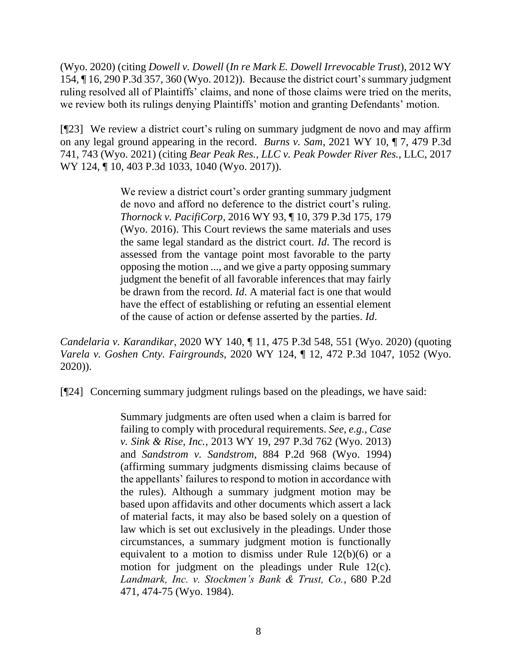(Wyo. 2020) (citing *Dowell v. Dowell* (*[In re Mark E. Dowell Irrevocable Trust](http://www.westlaw.com/Link/Document/FullText?findType=Y&serNum=2029423340&pubNum=0004645&originatingDoc=Icb137c10326c11eaa49a848616f1a2d2&refType=RP&fi=co_pp_sp_4645_360&originationContext=document&vr=3.0&rs=cblt1.0&transitionType=DocumentItem&contextData=(sc.UserEnteredCitation)#co_pp_sp_4645_360)*), 2012 WY [154, ¶ 16, 290 P.3d 357, 360 \(Wyo. 2012\)\)](http://www.westlaw.com/Link/Document/FullText?findType=Y&serNum=2029423340&pubNum=0004645&originatingDoc=Icb137c10326c11eaa49a848616f1a2d2&refType=RP&fi=co_pp_sp_4645_360&originationContext=document&vr=3.0&rs=cblt1.0&transitionType=DocumentItem&contextData=(sc.UserEnteredCitation)#co_pp_sp_4645_360). Because the district court's summary judgment ruling resolved all of Plaintiffs' claims, and none of those claims were tried on the merits, we review both its rulings denying Plaintiffs' motion and granting Defendants' motion.

[¶23] We review a district court's ruling on summary judgment de novo and may affirm on any legal ground appearing in the record. *Burns v. Sam*, 2021 WY 10, ¶ 7, 479 P.3d 741, 743 (Wyo. 2021) (citing *[Bear Peak Res., LLC v. Peak Powder River Res.](http://www.westlaw.com/Link/Document/FullText?findType=Y&serNum=2042878668&pubNum=0004645&originatingDoc=Ic4f0aa905c3911eb94d5d4e51cfa3c85&refType=RP&fi=co_pp_sp_4645_1040&originationContext=document&vr=3.0&rs=cblt1.0&transitionType=DocumentItem&contextData=(sc.Search)#co_pp_sp_4645_1040)*, LLC, 2017 [WY 124, ¶ 10, 403 P.3d 1033, 1040 \(Wyo. 2017\)\)](http://www.westlaw.com/Link/Document/FullText?findType=Y&serNum=2042878668&pubNum=0004645&originatingDoc=Ic4f0aa905c3911eb94d5d4e51cfa3c85&refType=RP&fi=co_pp_sp_4645_1040&originationContext=document&vr=3.0&rs=cblt1.0&transitionType=DocumentItem&contextData=(sc.Search)#co_pp_sp_4645_1040).

> We review a district court's order granting summary judgment de novo and afford no deference to the district court's ruling. *Thornock v. PacifiCorp*[, 2016 WY 93, ¶ 10, 379 P.3d 175, 179](http://www.westlaw.com/Link/Document/FullText?findType=Y&serNum=2039785923&pubNum=0004645&originatingDoc=I74df7050208d11ebaf4a97db80ef4b04&refType=RP&fi=co_pp_sp_4645_179&originationContext=document&vr=3.0&rs=cblt1.0&transitionType=DocumentItem&contextData=(sc.Search)#co_pp_sp_4645_179)  [\(Wyo. 2016\).](http://www.westlaw.com/Link/Document/FullText?findType=Y&serNum=2039785923&pubNum=0004645&originatingDoc=I74df7050208d11ebaf4a97db80ef4b04&refType=RP&fi=co_pp_sp_4645_179&originationContext=document&vr=3.0&rs=cblt1.0&transitionType=DocumentItem&contextData=(sc.Search)#co_pp_sp_4645_179) This Court reviews the same materials and uses the same legal standard as the district court. *[Id](http://www.westlaw.com/Link/Document/FullText?findType=Y&serNum=2039785923&pubNum=0006431&originatingDoc=I74df7050208d11ebaf4a97db80ef4b04&refType=RP&originationContext=document&vr=3.0&rs=cblt1.0&transitionType=DocumentItem&contextData=(sc.Search))*. The record is assessed from the vantage point most favorable to the party opposing the motion ..., and we give a party opposing summary judgment the benefit of all favorable inferences that may fairly be drawn from the record. *[Id](http://www.westlaw.com/Link/Document/FullText?findType=Y&serNum=2039785923&pubNum=0006431&originatingDoc=I74df7050208d11ebaf4a97db80ef4b04&refType=RP&originationContext=document&vr=3.0&rs=cblt1.0&transitionType=DocumentItem&contextData=(sc.Search))*. A material fact is one that would have the effect of establishing or refuting an essential element of the cause of action or defense asserted by the parties. *[Id](http://www.westlaw.com/Link/Document/FullText?findType=Y&serNum=2039785923&pubNum=0006431&originatingDoc=I74df7050208d11ebaf4a97db80ef4b04&refType=RP&originationContext=document&vr=3.0&rs=cblt1.0&transitionType=DocumentItem&contextData=(sc.Search))*.

*Candelaria v. Karandikar*, 2020 WY 140, ¶ 11, 475 P.3d 548, 551 (Wyo. 2020) (quoting *Varela v. Goshen Cnty. Fairgrounds*[, 2020 WY 124, ¶ 12, 472 P.3d 1047, 1052 \(Wyo.](http://www.westlaw.com/Link/Document/FullText?findType=Y&serNum=2051923860&pubNum=0004645&originatingDoc=I74df7050208d11ebaf4a97db80ef4b04&refType=RP&fi=co_pp_sp_4645_1052&originationContext=document&vr=3.0&rs=cblt1.0&transitionType=DocumentItem&contextData=(sc.Search)#co_pp_sp_4645_1052)  [2020\)\)](http://www.westlaw.com/Link/Document/FullText?findType=Y&serNum=2051923860&pubNum=0004645&originatingDoc=I74df7050208d11ebaf4a97db80ef4b04&refType=RP&fi=co_pp_sp_4645_1052&originationContext=document&vr=3.0&rs=cblt1.0&transitionType=DocumentItem&contextData=(sc.Search)#co_pp_sp_4645_1052).

[¶24] Concerning summary judgment rulings based on the pleadings, we have said:

Summary judgments are often used when a claim is barred for failing to comply with procedural requirements. *See*, *e.g.*, *[Case](http://www.westlaw.com/Link/Document/FullText?findType=Y&serNum=2029863505&pubNum=0004645&originatingDoc=I85a589497e1811e39ac8bab74931929c&refType=RP&originationContext=document&vr=3.0&rs=cblt1.0&transitionType=DocumentItem&contextData=(sc.Default))  v. Sink & Rise, Inc.*[, 2013 WY 19, 297 P.3d 762 \(Wyo.](http://www.westlaw.com/Link/Document/FullText?findType=Y&serNum=2029863505&pubNum=0004645&originatingDoc=I85a589497e1811e39ac8bab74931929c&refType=RP&originationContext=document&vr=3.0&rs=cblt1.0&transitionType=DocumentItem&contextData=(sc.Default)) 2013) and *[Sandstrom v. Sandstrom](http://www.westlaw.com/Link/Document/FullText?findType=Y&serNum=1994224952&pubNum=0000661&originatingDoc=I85a589497e1811e39ac8bab74931929c&refType=RP&originationContext=document&vr=3.0&rs=cblt1.0&transitionType=DocumentItem&contextData=(sc.Default))*, 884 P.2d 968 (Wyo. 1994) (affirming summary judgments dismissing claims because of the appellants' failures to respond to motion in accordance with the rules). Although a summary judgment motion may be based upon affidavits and other documents which assert a lack of material facts, it may also be based solely on a question of law which is set out exclusively in the pleadings. Under those circumstances, a summary judgment motion is functionally equivalent to a motion to dismiss under Rule 12(b)(6) or a motion for judgment on the pleadings under Rule 12(c). *[Landmark, Inc. v. Stockmen's Bank & Trust, Co.](http://www.westlaw.com/Link/Document/FullText?findType=Y&serNum=1984118941&pubNum=0000661&originatingDoc=I85a589497e1811e39ac8bab74931929c&refType=RP&fi=co_pp_sp_661_474&originationContext=document&vr=3.0&rs=cblt1.0&transitionType=DocumentItem&contextData=(sc.Default)#co_pp_sp_661_474)*, 680 P.2d [471, 474-75 \(Wyo.](http://www.westlaw.com/Link/Document/FullText?findType=Y&serNum=1984118941&pubNum=0000661&originatingDoc=I85a589497e1811e39ac8bab74931929c&refType=RP&fi=co_pp_sp_661_474&originationContext=document&vr=3.0&rs=cblt1.0&transitionType=DocumentItem&contextData=(sc.Default)#co_pp_sp_661_474) 1984).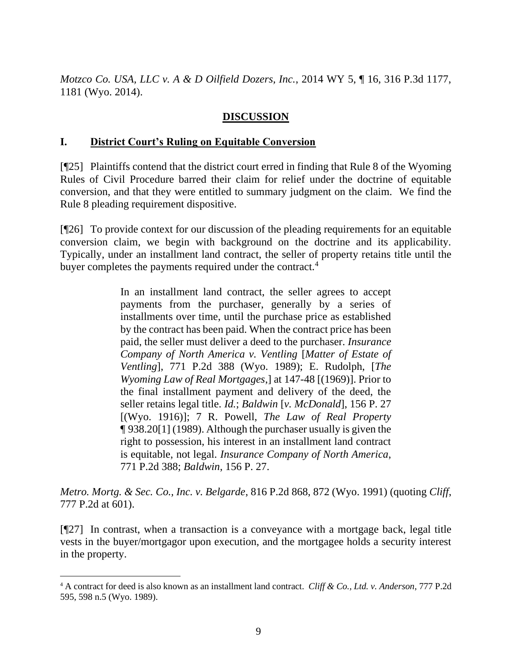*Motzco Co. USA, LLC v. A & D Oilfield Dozers, Inc.*, 2014 WY 5, ¶ 16, 316 P.3d 1177, 1181 (Wyo. 2014).

# **DISCUSSION**

### **I. District Court's Ruling on Equitable Conversion**

[¶25] Plaintiffs contend that the district court erred in finding that Rule 8 of the Wyoming Rules of Civil Procedure barred their claim for relief under the doctrine of equitable conversion, and that they were entitled to summary judgment on the claim. We find the Rule 8 pleading requirement dispositive.

[¶26] To provide context for our discussion of the pleading requirements for an equitable conversion claim, we begin with background on the doctrine and its applicability. Typically, under an installment land contract, the seller of property retains title until the buyer completes the payments required under the contract.<sup>4</sup>

> In an installment land contract, the seller agrees to accept payments from the purchaser, generally by a series of installments over time, until the purchase price as established by the contract has been paid. When the contract price has been paid, the seller must deliver a deed to the purchaser. *[Insurance](http://www.westlaw.com/Link/Document/FullText?findType=Y&serNum=1989048676&pubNum=0000661&originatingDoc=Id56f952ef5ac11d98ac8f235252e36df&refType=RP&originationContext=document&vr=3.0&rs=cblt1.0&transitionType=DocumentItem&contextData=(sc.Search))  [Company of North America v. Ventling](http://www.westlaw.com/Link/Document/FullText?findType=Y&serNum=1989048676&pubNum=0000661&originatingDoc=Id56f952ef5ac11d98ac8f235252e36df&refType=RP&originationContext=document&vr=3.0&rs=cblt1.0&transitionType=DocumentItem&contextData=(sc.Search))* [*Matter of Estate of Ventling*[\], 771 P.2d 388 \(Wyo.](http://www.westlaw.com/Link/Document/FullText?findType=Y&serNum=1989048676&pubNum=0000661&originatingDoc=Id56f952ef5ac11d98ac8f235252e36df&refType=RP&originationContext=document&vr=3.0&rs=cblt1.0&transitionType=DocumentItem&contextData=(sc.Search)) 1989); E. Rudolph, [*The Wyoming Law of Real Mortgages*,] at 147-48 [(1969)]. Prior to the final installment payment and delivery of the deed, the seller retains legal title. *Id.*; *Baldwin* [*[v. McDonald](http://www.westlaw.com/Link/Document/FullText?findType=Y&serNum=1916023333&pubNum=660&originatingDoc=Id56f952ef5ac11d98ac8f235252e36df&refType=RP&originationContext=document&vr=3.0&rs=cblt1.0&transitionType=DocumentItem&contextData=(sc.Search))*], 156 P. 27 [\[\(Wyo. 1916\)\]; 7](http://www.westlaw.com/Link/Document/FullText?findType=Y&serNum=1916023333&pubNum=660&originatingDoc=Id56f952ef5ac11d98ac8f235252e36df&refType=RP&originationContext=document&vr=3.0&rs=cblt1.0&transitionType=DocumentItem&contextData=(sc.Search)) R. Powell, *The Law of Real Property* ¶ 938.20[1] (1989). Although the purchaser usually is given the right to possession, his interest in an installment land contract is equitable, not legal. *[Insurance Company of North America](http://www.westlaw.com/Link/Document/FullText?findType=Y&serNum=1989048676&pubNum=661&originatingDoc=Id56f952ef5ac11d98ac8f235252e36df&refType=RP&originationContext=document&vr=3.0&rs=cblt1.0&transitionType=DocumentItem&contextData=(sc.Search))*, [771 P.2d 388;](http://www.westlaw.com/Link/Document/FullText?findType=Y&serNum=1989048676&pubNum=661&originatingDoc=Id56f952ef5ac11d98ac8f235252e36df&refType=RP&originationContext=document&vr=3.0&rs=cblt1.0&transitionType=DocumentItem&contextData=(sc.Search)) *Baldwin*[, 156 P. 27.](http://www.westlaw.com/Link/Document/FullText?findType=Y&serNum=1916023333&pubNum=0000660&originatingDoc=Id56f952ef5ac11d98ac8f235252e36df&refType=RP&originationContext=document&vr=3.0&rs=cblt1.0&transitionType=DocumentItem&contextData=(sc.Search))

*Metro. Mortg. & Sec. Co., Inc. v. Belgarde*, 816 P.2d 868, 872 (Wyo. 1991) (quoting *Cliff*, 777 P.2d at 601).

[¶27] In contrast, when a transaction is a conveyance with a mortgage back, legal title vests in the buyer/mortgagor upon execution, and the mortgagee holds a security interest in the property.

<sup>4</sup> A contract for deed is also known as an installment land contract. *Cliff & Co., Ltd. v. Anderson*, 777 P.2d 595, 598 n.5 (Wyo. 1989).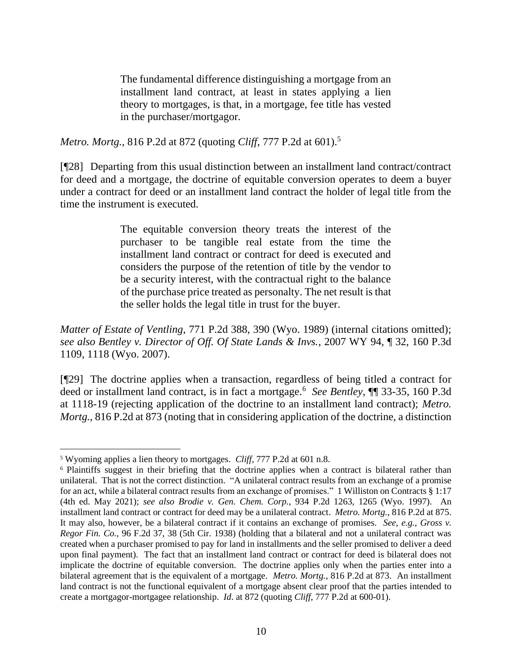The fundamental difference distinguishing a mortgage from an installment land contract, at least in states applying a lien theory to mortgages, is that, in a mortgage, fee title has vested in the purchaser/mortgagor.

*Metro. Mortg.*, 816 P.2d at 872 (quoting *Cliff*, 777 P.2d at 601).<sup>5</sup>

[¶28] Departing from this usual distinction between an installment land contract/contract for deed and a mortgage, the doctrine of equitable conversion operates to deem a buyer under a contract for deed or an installment land contract the holder of legal title from the time the instrument is executed.

> The equitable conversion theory treats the interest of the purchaser to be tangible real estate from the time the installment land contract or contract for deed is executed and considers the purpose of the retention of title by the vendor to be a security interest, with the contractual right to the balance of the purchase price treated as personalty. The net result is that the seller holds the legal title in trust for the buyer.

*Matter of Estate of Ventling*, 771 P.2d 388, 390 (Wyo. 1989) (internal citations omitted); *see also Bentley v. Director of Off. Of State Lands & Invs.*, 2007 WY 94, ¶ 32, 160 P.3d 1109, 1118 (Wyo. 2007).

[¶29] The doctrine applies when a transaction, regardless of being titled a contract for deed or installment land contract, is in fact a mortgage.<sup>6</sup> *See Bentley*, ¶¶ 33-35, 160 P.3d at 1118-19 (rejecting application of the doctrine to an installment land contract); *Metro. Mortg.*, 816 P.2d at 873 (noting that in considering application of the doctrine, a distinction

<sup>5</sup> Wyoming applies a lien theory to mortgages. *Cliff*, 777 P.2d at 601 n.8.

<sup>6</sup> Plaintiffs suggest in their briefing that the doctrine applies when a contract is bilateral rather than unilateral. That is not the correct distinction. "A unilateral contract results from an exchange of a promise for an act, while a bilateral contract results from an exchange of promises." 1 Williston on Contracts § 1:17 (4th ed. May 2021); *see also Brodie v. Gen. Chem. Corp.*, 934 P.2d 1263, 1265 (Wyo. 1997). An installment land contract or contract for deed may be a unilateral contract. *Metro. Mortg.*, 816 P.2d at 875. It may also, however, be a bilateral contract if it contains an exchange of promises. *See*, *e.g.*, *Gross v. Regor Fin. Co.*, 96 F.2d 37, 38 (5th Cir. 1938) (holding that a bilateral and not a unilateral contract was created when a purchaser promised to pay for land in installments and the seller promised to deliver a deed upon final payment). The fact that an installment land contract or contract for deed is bilateral does not implicate the doctrine of equitable conversion. The doctrine applies only when the parties enter into a bilateral agreement that is the equivalent of a mortgage. *Metro. Mortg.*, 816 P.2d at 873. An installment land contract is not the functional equivalent of a mortgage absent clear proof that the parties intended to create a mortgagor-mortgagee relationship. *Id*. at 872 (quoting *Cliff*, 777 P.2d at 600-01).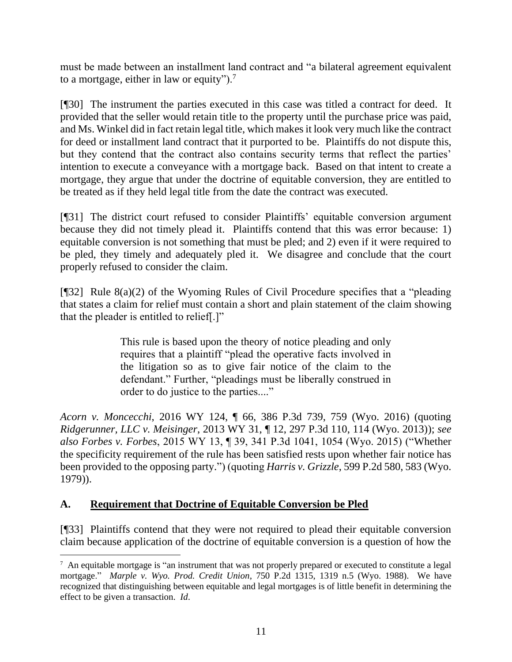must be made between an installment land contract and "a bilateral agreement equivalent to a mortgage, either in law or equity").<sup>7</sup>

[¶30] The instrument the parties executed in this case was titled a contract for deed. It provided that the seller would retain title to the property until the purchase price was paid, and Ms. Winkel did in fact retain legal title, which makes it look very much like the contract for deed or installment land contract that it purported to be. Plaintiffs do not dispute this, but they contend that the contract also contains security terms that reflect the parties' intention to execute a conveyance with a mortgage back. Based on that intent to create a mortgage, they argue that under the doctrine of equitable conversion, they are entitled to be treated as if they held legal title from the date the contract was executed.

[¶31] The district court refused to consider Plaintiffs' equitable conversion argument because they did not timely plead it. Plaintiffs contend that this was error because: 1) equitable conversion is not something that must be pled; and 2) even if it were required to be pled, they timely and adequately pled it. We disagree and conclude that the court properly refused to consider the claim.

[¶32] Rule 8(a)(2) of the Wyoming Rules of Civil Procedure specifies that a "pleading that states a claim for relief must contain a short and plain statement of the claim showing that the pleader is entitled to relief[.]"

> This rule is based upon the theory of notice pleading and only requires that a plaintiff "plead the operative facts involved in the litigation so as to give fair notice of the claim to the defendant." Further, "pleadings must be liberally construed in order to do justice to the parties...."

*Acorn v. Moncecchi*, 2016 WY 124, ¶ 66, 386 P.3d 739, 759 (Wyo. 2016) (quoting *Ridgerunner, LLC v. Meisinger*[, 2013 WY 31, ¶ 12, 297 P.3d 110, 114 \(Wyo. 2013\)\)](http://www.westlaw.com/Link/Document/FullText?findType=Y&serNum=2030133756&pubNum=0004645&originatingDoc=I36ad4590c8e511e6972aa83e6c16e5f7&refType=RP&fi=co_pp_sp_4645_114&originationContext=document&vr=3.0&rs=cblt1.0&transitionType=DocumentItem&contextData=(sc.DocLink)#co_pp_sp_4645_114); *see also Forbes v. Forbes*, 2015 WY 13, ¶ 39, 341 P.3d 1041, 1054 (Wyo. 2015) ("Whether the specificity requirement of the rule has been satisfied rests upon whether fair notice has been provided to the opposing party.") (quoting *Harris v. Grizzle*[, 599 P.2d 580, 583 \(Wyo.](http://www.westlaw.com/Link/Document/FullText?findType=Y&serNum=1979125495&pubNum=0000661&originatingDoc=I6b4d41e9a50211e4b86bd602cb8781fa&refType=RP&fi=co_pp_sp_661_583&originationContext=document&vr=3.0&rs=cblt1.0&transitionType=DocumentItem&contextData=(sc.DocLink)#co_pp_sp_661_583) [1979\)\)](http://www.westlaw.com/Link/Document/FullText?findType=Y&serNum=1979125495&pubNum=0000661&originatingDoc=I6b4d41e9a50211e4b86bd602cb8781fa&refType=RP&fi=co_pp_sp_661_583&originationContext=document&vr=3.0&rs=cblt1.0&transitionType=DocumentItem&contextData=(sc.DocLink)#co_pp_sp_661_583).

# **A. Requirement that Doctrine of Equitable Conversion be Pled**

[¶33] Plaintiffs contend that they were not required to plead their equitable conversion claim because application of the doctrine of equitable conversion is a question of how the

<sup>&</sup>lt;sup>7</sup> An equitable mortgage is "an instrument that was not properly prepared or executed to constitute a legal mortgage." *Marple v. Wyo. Prod. Credit Union*, 750 P.2d 1315, 1319 n.5 (Wyo. 1988). We have recognized that distinguishing between equitable and legal mortgages is of little benefit in determining the effect to be given a transaction. *Id*.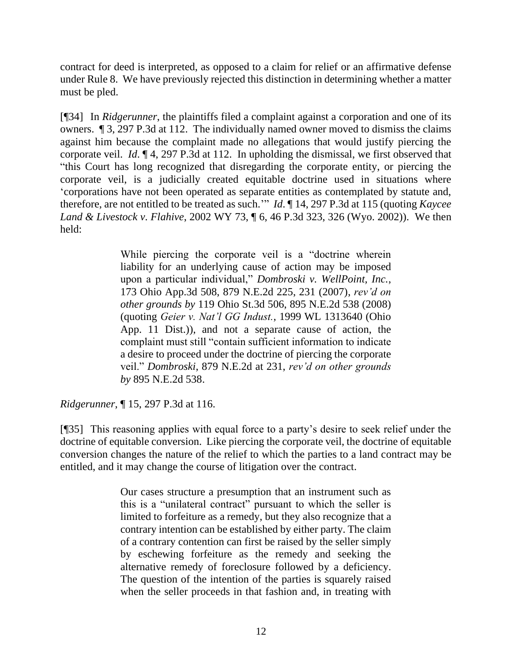contract for deed is interpreted, as opposed to a claim for relief or an affirmative defense under Rule 8. We have previously rejected this distinction in determining whether a matter must be pled.

[¶34] In *Ridgerunner*, the plaintiffs filed a complaint against a corporation and one of its owners. ¶ 3, 297 P.3d at 112. The individually named owner moved to dismiss the claims against him because the complaint made no allegations that would justify piercing the corporate veil. *Id*. ¶ 4, 297 P.3d at 112. In upholding the dismissal, we first observed that "this Court has long recognized that disregarding the corporate entity, or piercing the corporate veil, is a judicially created equitable doctrine used in situations where 'corporations have not been operated as separate entities as contemplated by statute and, therefore, are not entitled to be treated as such.'" *Id*. ¶ 14, 297 P.3d at 115 (quoting *[Kaycee](http://www.westlaw.com/Link/Document/FullText?findType=Y&serNum=2002306960&pubNum=0004645&originatingDoc=I08028f258cb911e28a21ccb9036b2470&refType=RP&fi=co_pp_sp_4645_325&originationContext=document&vr=3.0&rs=cblt1.0&transitionType=DocumentItem&contextData=(sc.DocLink)#co_pp_sp_4645_325)  Land & Livestock v. Flahive*[, 2002 WY 73, ¶ 6, 46 P.3d 323, 326](http://www.westlaw.com/Link/Document/FullText?findType=Y&serNum=2002306960&pubNum=0004645&originatingDoc=I08028f258cb911e28a21ccb9036b2470&refType=RP&fi=co_pp_sp_4645_325&originationContext=document&vr=3.0&rs=cblt1.0&transitionType=DocumentItem&contextData=(sc.DocLink)#co_pp_sp_4645_325) (Wyo. 2002)). We then held:

> While piercing the corporate veil is a "doctrine wherein liability for an underlying cause of action may be imposed upon a particular individual," *[Dombroski v. WellPoint, Inc.](http://www.westlaw.com/Link/Document/FullText?findType=Y&serNum=2013269655&pubNum=0000578&originatingDoc=I08028f258cb911e28a21ccb9036b2470&refType=RP&fi=co_pp_sp_578_231&originationContext=document&vr=3.0&rs=cblt1.0&transitionType=DocumentItem&contextData=(sc.DocLink)#co_pp_sp_578_231)*, [173 Ohio App.3d 508, 879 N.E.2d 225, 231 \(2007\),](http://www.westlaw.com/Link/Document/FullText?findType=Y&serNum=2013269655&pubNum=0000578&originatingDoc=I08028f258cb911e28a21ccb9036b2470&refType=RP&fi=co_pp_sp_578_231&originationContext=document&vr=3.0&rs=cblt1.0&transitionType=DocumentItem&contextData=(sc.DocLink)#co_pp_sp_578_231) *rev'd on other grounds by* [119 Ohio St.3d 506, 895 N.E.2d 538 \(2008\)](http://www.westlaw.com/Link/Document/FullText?findType=Y&serNum=2017197911&pubNum=0000578&originatingDoc=I08028f258cb911e28a21ccb9036b2470&refType=RP&originationContext=document&vr=3.0&rs=cblt1.0&transitionType=DocumentItem&contextData=(sc.DocLink)) (quoting *Geier v. Nat'l GG Indust.*[, 1999 WL 1313640 \(Ohio](http://www.westlaw.com/Link/Document/FullText?findType=Y&serNum=2000031274&pubNum=0000999&originatingDoc=I08028f258cb911e28a21ccb9036b2470&refType=RP&originationContext=document&vr=3.0&rs=cblt1.0&transitionType=DocumentItem&contextData=(sc.DocLink))  [App. 11 Dist.\)\)](http://www.westlaw.com/Link/Document/FullText?findType=Y&serNum=2000031274&pubNum=0000999&originatingDoc=I08028f258cb911e28a21ccb9036b2470&refType=RP&originationContext=document&vr=3.0&rs=cblt1.0&transitionType=DocumentItem&contextData=(sc.DocLink)), and not a separate cause of action, the complaint must still "contain sufficient information to indicate a desire to proceed under the doctrine of piercing the corporate veil." *Dombroski*[, 879 N.E.2d at 231,](http://www.westlaw.com/Link/Document/FullText?findType=Y&serNum=2013269655&pubNum=578&originatingDoc=I08028f258cb911e28a21ccb9036b2470&refType=RP&fi=co_pp_sp_578_231&originationContext=document&vr=3.0&rs=cblt1.0&transitionType=DocumentItem&contextData=(sc.DocLink)#co_pp_sp_578_231) *rev'd on other grounds by* [895 N.E.2d 538.](http://www.westlaw.com/Link/Document/FullText?findType=Y&serNum=2017197911&pubNum=0000578&originatingDoc=I08028f258cb911e28a21ccb9036b2470&refType=RP&originationContext=document&vr=3.0&rs=cblt1.0&transitionType=DocumentItem&contextData=(sc.DocLink))

*Ridgerunner*, ¶ 15, 297 P.3d at 116.

[¶35] This reasoning applies with equal force to a party's desire to seek relief under the doctrine of equitable conversion. Like piercing the corporate veil, the doctrine of equitable conversion changes the nature of the relief to which the parties to a land contract may be entitled, and it may change the course of litigation over the contract.

> Our cases structure a presumption that an instrument such as this is a "unilateral contract" pursuant to which the seller is limited to forfeiture as a remedy, but they also recognize that a contrary intention can be established by either party. The claim of a contrary contention can first be raised by the seller simply by eschewing forfeiture as the remedy and seeking the alternative remedy of foreclosure followed by a deficiency. The question of the intention of the parties is squarely raised when the seller proceeds in that fashion and, in treating with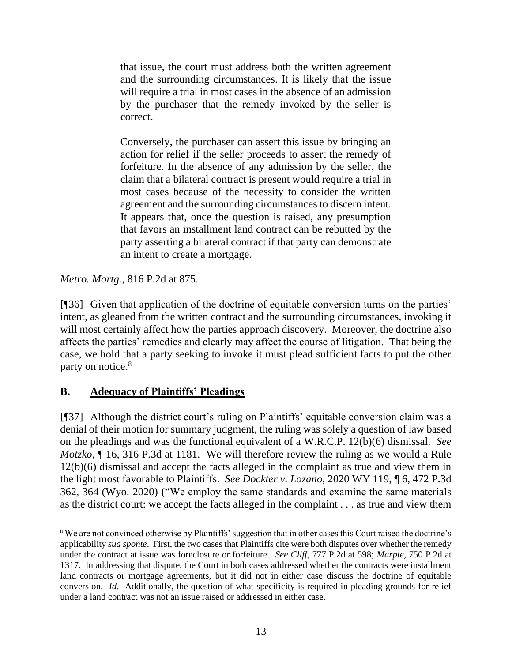that issue, the court must address both the written agreement and the surrounding circumstances. It is likely that the issue will require a trial in most cases in the absence of an admission by the purchaser that the remedy invoked by the seller is correct.

Conversely, the purchaser can assert this issue by bringing an action for relief if the seller proceeds to assert the remedy of forfeiture. In the absence of any admission by the seller, the claim that a bilateral contract is present would require a trial in most cases because of the necessity to consider the written agreement and the surrounding circumstances to discern intent. It appears that, once the question is raised, any presumption that favors an installment land contract can be rebutted by the party asserting a bilateral contract if that party can demonstrate an intent to create a mortgage.

*Metro. Mortg.*, 816 P.2d at 875.

[¶36] Given that application of the doctrine of equitable conversion turns on the parties' intent, as gleaned from the written contract and the surrounding circumstances, invoking it will most certainly affect how the parties approach discovery. Moreover, the doctrine also affects the parties' remedies and clearly may affect the course of litigation. That being the case, we hold that a party seeking to invoke it must plead sufficient facts to put the other party on notice.<sup>8</sup>

# **B. Adequacy of Plaintiffs' Pleadings**

[¶37] Although the district court's ruling on Plaintiffs' equitable conversion claim was a denial of their motion for summary judgment, the ruling was solely a question of law based on the pleadings and was the functional equivalent of a W.R.C.P. 12(b)(6) dismissal. *See Motzko*, ¶ 16, 316 P.3d at 1181. We will therefore review the ruling as we would a Rule 12(b)(6) dismissal and accept the facts alleged in the complaint as true and view them in the light most favorable to Plaintiffs. *See Dockter v. Lozano*, 2020 WY 119, ¶ 6, 472 P.3d 362, 364 (Wyo. 2020) ("We employ the same standards and examine the same materials as the district court: we accept the facts alleged in the complaint . . . as true and view them

<sup>&</sup>lt;sup>8</sup> We are not convinced otherwise by Plaintiffs' suggestion that in other cases this Court raised the doctrine's applicability *sua sponte*. First, the two cases that Plaintiffs cite were both disputes over whether the remedy under the contract at issue was foreclosure or forfeiture. *See Cliff*, 777 P.2d at 598; *Marple*, 750 P.2d at 1317. In addressing that dispute, the Court in both cases addressed whether the contracts were installment land contracts or mortgage agreements, but it did not in either case discuss the doctrine of equitable conversion. *Id*. Additionally, the question of what specificity is required in pleading grounds for relief under a land contract was not an issue raised or addressed in either case.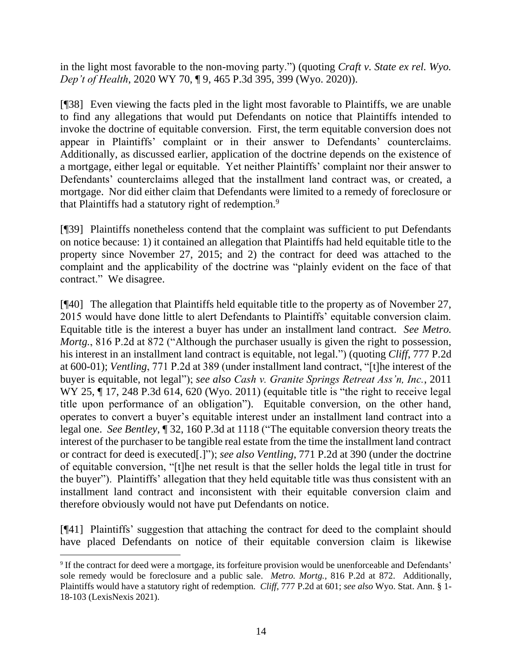in the light most favorable to the non-moving party.") (quoting *[Craft v. State ex rel. Wyo.](http://www.westlaw.com/Link/Document/FullText?findType=Y&serNum=2051225941&pubNum=0004645&originatingDoc=Ic6987bc0f47e11ea8a16b8dfad4105f5&refType=RP&fi=co_pp_sp_4645_399&originationContext=document&vr=3.0&rs=cblt1.0&transitionType=DocumentItem&contextData=(sc.Search)#co_pp_sp_4645_399)  Dep't of Health*[, 2020 WY 70, ¶ 9, 465 P.3d 395, 399 \(Wyo. 2020\)\)](http://www.westlaw.com/Link/Document/FullText?findType=Y&serNum=2051225941&pubNum=0004645&originatingDoc=Ic6987bc0f47e11ea8a16b8dfad4105f5&refType=RP&fi=co_pp_sp_4645_399&originationContext=document&vr=3.0&rs=cblt1.0&transitionType=DocumentItem&contextData=(sc.Search)#co_pp_sp_4645_399).

[¶38] Even viewing the facts pled in the light most favorable to Plaintiffs, we are unable to find any allegations that would put Defendants on notice that Plaintiffs intended to invoke the doctrine of equitable conversion. First, the term equitable conversion does not appear in Plaintiffs' complaint or in their answer to Defendants' counterclaims. Additionally, as discussed earlier, application of the doctrine depends on the existence of a mortgage, either legal or equitable. Yet neither Plaintiffs' complaint nor their answer to Defendants' counterclaims alleged that the installment land contract was, or created, a mortgage. Nor did either claim that Defendants were limited to a remedy of foreclosure or that Plaintiffs had a statutory right of redemption.<sup>9</sup>

[¶39] Plaintiffs nonetheless contend that the complaint was sufficient to put Defendants on notice because: 1) it contained an allegation that Plaintiffs had held equitable title to the property since November 27, 2015; and 2) the contract for deed was attached to the complaint and the applicability of the doctrine was "plainly evident on the face of that contract." We disagree.

[¶40] The allegation that Plaintiffs held equitable title to the property as of November 27, 2015 would have done little to alert Defendants to Plaintiffs' equitable conversion claim. Equitable title is the interest a buyer has under an installment land contract. *See Metro. Mortg.*, 816 P.2d at 872 ("Although the purchaser usually is given the right to possession, his interest in an installment land contract is equitable, not legal.") (quoting *Cliff*, 777 P.2d at 600-01); *Ventling*, 771 P.2d at 389 (under installment land contract, "[t]he interest of the buyer is equitable, not legal"); *see also Cash v. Granite Springs Retreat Ass'n, Inc.*, 2011 WY 25,  $\P$  17, 248 P.3d 614, 620 (Wyo. 2011) (equitable title is "the right to receive legal title upon performance of an obligation"). Equitable conversion, on the other hand, operates to convert a buyer's equitable interest under an installment land contract into a legal one. *See Bentley*, ¶ 32, 160 P.3d at 1118 ("The equitable conversion theory treats the interest of the purchaser to be tangible real estate from the time the installment land contract or contract for deed is executed[.]"); *see also Ventling*[, 771 P.2d at 390](http://www.westlaw.com/Link/Document/FullText?findType=Y&serNum=1989048676&pubNum=0000661&originatingDoc=I0b4290c115e811dc962ef0ed15906072&refType=RP&fi=co_pp_sp_661_390&originationContext=document&vr=3.0&rs=cblt1.0&transitionType=DocumentItem&contextData=(sc.Search)#co_pp_sp_661_390) (under the doctrine of equitable conversion, "[t]he net result is that the seller holds the legal title in trust for the buyer"). Plaintiffs' allegation that they held equitable title was thus consistent with an installment land contract and inconsistent with their equitable conversion claim and therefore obviously would not have put Defendants on notice.

[¶41] Plaintiffs' suggestion that attaching the contract for deed to the complaint should have placed Defendants on notice of their equitable conversion claim is likewise

<sup>&</sup>lt;sup>9</sup> If the contract for deed were a mortgage, its forfeiture provision would be unenforceable and Defendants' sole remedy would be foreclosure and a public sale. *Metro. Mortg.*, 816 P.2d at 872. Additionally, Plaintiffs would have a statutory right of redemption. *Cliff*, 777 P.2d at 601; *see also* Wyo. Stat. Ann. § 1- 18-103 (LexisNexis 2021).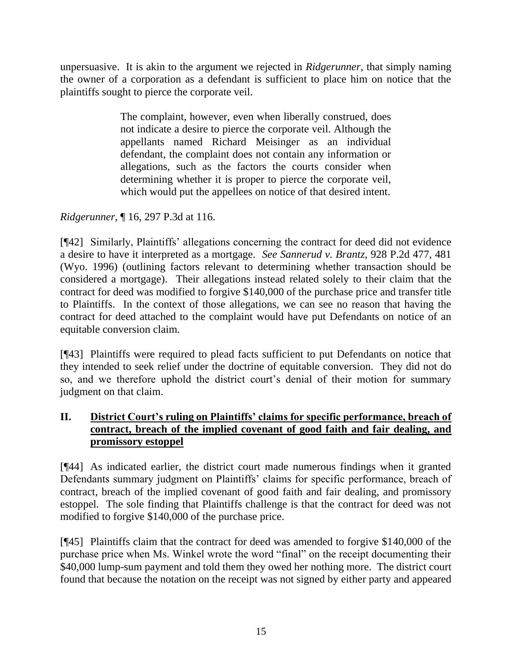unpersuasive. It is akin to the argument we rejected in *Ridgerunner*, that simply naming the owner of a corporation as a defendant is sufficient to place him on notice that the plaintiffs sought to pierce the corporate veil.

> The complaint, however, even when liberally construed, does not indicate a desire to pierce the corporate veil. Although the appellants named Richard Meisinger as an individual defendant, the complaint does not contain any information or allegations, such as the factors the courts consider when determining whether it is proper to pierce the corporate veil, which would put the appellees on notice of that desired intent.

*Ridgerunner*, ¶ 16, 297 P.3d at 116.

[¶42] Similarly, Plaintiffs' allegations concerning the contract for deed did not evidence a desire to have it interpreted as a mortgage. *See Sannerud v. Brantz*, 928 P.2d 477, 481 (Wyo. 1996) (outlining factors relevant to determining whether transaction should be considered a mortgage). Their allegations instead related solely to their claim that the contract for deed was modified to forgive \$140,000 of the purchase price and transfer title to Plaintiffs. In the context of those allegations, we can see no reason that having the contract for deed attached to the complaint would have put Defendants on notice of an equitable conversion claim.

[¶43] Plaintiffs were required to plead facts sufficient to put Defendants on notice that they intended to seek relief under the doctrine of equitable conversion. They did not do so, and we therefore uphold the district court's denial of their motion for summary judgment on that claim.

# **II. District Court's ruling on Plaintiffs' claims for specific performance, breach of contract, breach of the implied covenant of good faith and fair dealing, and promissory estoppel**

[¶44] As indicated earlier, the district court made numerous findings when it granted Defendants summary judgment on Plaintiffs' claims for specific performance, breach of contract, breach of the implied covenant of good faith and fair dealing, and promissory estoppel. The sole finding that Plaintiffs challenge is that the contract for deed was not modified to forgive \$140,000 of the purchase price.

[¶45] Plaintiffs claim that the contract for deed was amended to forgive \$140,000 of the purchase price when Ms. Winkel wrote the word "final" on the receipt documenting their \$40,000 lump-sum payment and told them they owed her nothing more. The district court found that because the notation on the receipt was not signed by either party and appeared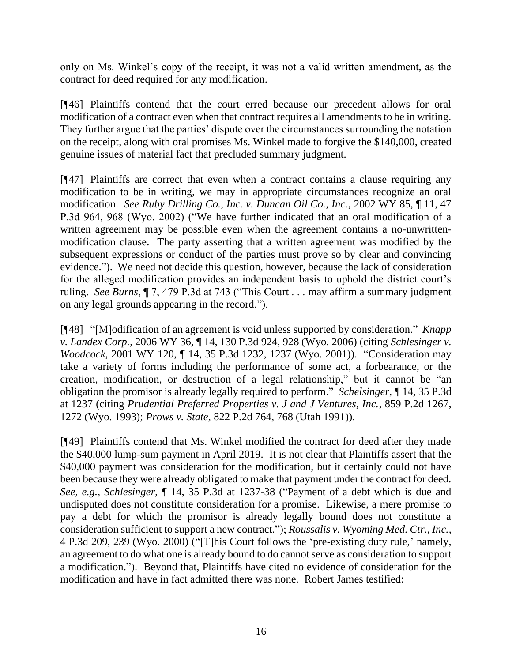only on Ms. Winkel's copy of the receipt, it was not a valid written amendment, as the contract for deed required for any modification.

[¶46] Plaintiffs contend that the court erred because our precedent allows for oral modification of a contract even when that contract requires all amendments to be in writing. They further argue that the parties' dispute over the circumstances surrounding the notation on the receipt, along with oral promises Ms. Winkel made to forgive the \$140,000, created genuine issues of material fact that precluded summary judgment.

[¶47] Plaintiffs are correct that even when a contract contains a clause requiring any modification to be in writing, we may in appropriate circumstances recognize an oral modification. *See Ruby Drilling Co., Inc. v. Duncan Oil Co., Inc.*, 2002 WY 85, ¶ 11, 47 P.3d 964, 968 (Wyo. 2002) ("We have further indicated that an oral modification of a written agreement may be possible even when the agreement contains a no-unwrittenmodification clause. The party asserting that a written agreement was modified by the subsequent expressions or conduct of the parties must prove so by clear and convincing evidence."). We need not decide this question, however, because the lack of consideration for the alleged modification provides an independent basis to uphold the district court's ruling. *See Burns*, ¶ 7, 479 P.3d at 743 ("This Court . . . may affirm a summary judgment on any legal grounds appearing in the record.").

[¶48] "[M]odification of an agreement is void unless supported by consideration." *Knapp v. Landex Corp.*, 2006 WY 36, ¶ 14, 130 P.3d 924, 928 (Wyo. 2006) (citing *[Schlesinger v.](http://www.westlaw.com/Link/Document/FullText?findType=Y&serNum=2001516051&pubNum=0004645&originatingDoc=I7579474fb9c111dab6b19d807577f4c3&refType=RP&fi=co_pp_sp_4645_1237&originationContext=document&vr=3.0&rs=cblt1.0&transitionType=DocumentItem&contextData=(sc.Keycite)#co_pp_sp_4645_1237)  Woodcock*[, 2001 WY 120, ¶ 14, 35 P.3d 1232, 1237 \(Wyo.](http://www.westlaw.com/Link/Document/FullText?findType=Y&serNum=2001516051&pubNum=0004645&originatingDoc=I7579474fb9c111dab6b19d807577f4c3&refType=RP&fi=co_pp_sp_4645_1237&originationContext=document&vr=3.0&rs=cblt1.0&transitionType=DocumentItem&contextData=(sc.Keycite)#co_pp_sp_4645_1237) 2001)). "Consideration may take a variety of forms including the performance of some act, a forbearance, or the creation, modification, or destruction of a legal relationship," but it cannot be "an obligation the promisor is already legally required to perform." *Schelsinger*, ¶ 14, 35 P.3d at 1237 (citing *[Prudential Preferred Properties v. J and J Ventures, Inc.](http://www.westlaw.com/Link/Document/FullText?findType=Y&serNum=1993179048&pubNum=0000661&originatingDoc=Id37f1af9f55811d983e7e9deff98dc6f&refType=RP&fi=co_pp_sp_661_1272&originationContext=document&vr=3.0&rs=cblt1.0&transitionType=DocumentItem&contextData=(sc.Search)#co_pp_sp_661_1272)*, 859 P.2d 1267, [1272 \(Wyo.](http://www.westlaw.com/Link/Document/FullText?findType=Y&serNum=1993179048&pubNum=0000661&originatingDoc=Id37f1af9f55811d983e7e9deff98dc6f&refType=RP&fi=co_pp_sp_661_1272&originationContext=document&vr=3.0&rs=cblt1.0&transitionType=DocumentItem&contextData=(sc.Search)#co_pp_sp_661_1272) 1993); *Prows v. State*[, 822 P.2d 764, 768 \(Utah 1991\)\)](http://www.westlaw.com/Link/Document/FullText?findType=Y&serNum=1991200097&pubNum=0000661&originatingDoc=Id37f1af9f55811d983e7e9deff98dc6f&refType=RP&fi=co_pp_sp_661_768&originationContext=document&vr=3.0&rs=cblt1.0&transitionType=DocumentItem&contextData=(sc.Search)#co_pp_sp_661_768).

[¶49] Plaintiffs contend that Ms. Winkel modified the contract for deed after they made the \$40,000 lump-sum payment in April 2019. It is not clear that Plaintiffs assert that the \$40,000 payment was consideration for the modification, but it certainly could not have been because they were already obligated to make that payment under the contract for deed. *See, e.g.*, *Schlesinger*, ¶ 14, 35 P.3d at 1237-38 ("Payment of a debt which is due and undisputed does not constitute consideration for a promise. Likewise, a mere promise to pay a debt for which the promisor is already legally bound does not constitute a consideration sufficient to support a new contract."); *Roussalis v. Wyoming Med. Ctr., Inc.*, 4 P.3d 209, 239 (Wyo. 2000) ("[T]his Court follows the 'pre-existing duty rule,' namely, an agreement to do what one is already bound to do cannot serve as consideration to support a modification."). Beyond that, Plaintiffs have cited no evidence of consideration for the modification and have in fact admitted there was none. Robert James testified: